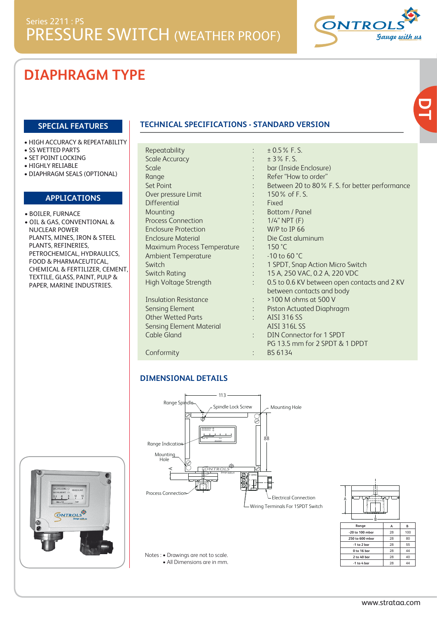

# **DIAPHRAGM TYPE**

### **SPECIAL FEATURES**

- HIGH ACCURACY & REPEATABILITY
- SS WETTED PARTS
- SET POINT LOCKING
- HIGHLY RELIABLE
- DIAPHRAGM SEALS (OPTIONAL)

### **APPLICATIONS**

• BOILER, FURNACE • OIL & GAS, CONVENTIONAL & NUCLEAR POWER PLANTS, MINES, IRON & STEEL PLANTS, REFINERIES, PETROCHEMICAL, HYDRAULICS, FOOD & PHARMACEUTICAL, CHEMICAL & FERTILIZER, CEMENT, TEXTILE, GLASS, PAINT, PULP &

PAPER, MARINE INDUSTRIES.

| <b>DECREASING O</b><br>PRESSURE                         |  |
|---------------------------------------------------------|--|
| INCREASING O<br>$^{12}$ 18<br>0.3<br>8<br>bar<br>Mxx.24 |  |
| t.<br><b>CONTROLS</b><br><b>Gauge with us</b>           |  |
|                                                         |  |
|                                                         |  |

## **TECHNICAL SPECIFICATIONS - STANDARD VERSION**

| Repeatability               |  |
|-----------------------------|--|
| <b>Scale Accuracy</b>       |  |
| Scale                       |  |
| Range                       |  |
| <b>Set Point</b>            |  |
| Over pressure Limit         |  |
| Differential                |  |
| Mounting                    |  |
| <b>Process Connection</b>   |  |
| Enclosure Protection        |  |
| <b>Enclosure Material</b>   |  |
| Maximum Process Temperature |  |
| <b>Ambient Temperature</b>  |  |
| Switch                      |  |
| <b>Switch Rating</b>        |  |
| High Voltage Strength       |  |
|                             |  |
| Insulation Resistance       |  |
| <b>Sensing Element</b>      |  |
| <b>Other Wetted Parts</b>   |  |

| $± 0.5\%$ F.S.<br>± 3% F.S.<br>bar (Inside Enclosure)<br>Refer "How to order"<br>Between 20 to 80% F. S. for better performance<br>150% of F.S.<br>Fixed<br>Bottom / Panel<br>$1/4$ " NPT $(F)$<br>W/P to IP 66<br>Die Cast aluminum<br>150 °C<br>-10 to 60 °C<br>1 SPDT, Snap Action Micro Switch<br>15 A, 250 VAC, 0.2 A, 220 VDC<br>0.5 to 0.6 KV between open contacts and 2 KV<br>between contacts and body<br>>100 M ohms at 500 V<br>Piston Actuated Diaphragm<br><b>AISI 316 SS</b><br><b>AISI 316L SS</b><br><b>DIN Connector for 1 SPDT</b><br>PG 13.5 mm for 2 SPDT & 1 DPDT<br>BS 6134<br>$\ddot{\cdot}$<br>Screw<br>Mounting Hole<br>88<br>⇙<br><b>Electrical Connection</b><br>Wiring Terminals For 1SPDT Switch<br>В<br>Range<br>B<br>A<br>-20 to 100 mbar<br>100<br>28<br>250 to 600 mbar<br>28<br>80 | 28<br>-1 to 2 bar<br>55<br>0 to 16 bar<br>28<br>44<br>2 to 40 bar<br>28<br>40<br>44<br>-1 to 4 bar<br>28 | <b>IS - STANDARD VERSION</b> |  |
|-----------------------------------------------------------------------------------------------------------------------------------------------------------------------------------------------------------------------------------------------------------------------------------------------------------------------------------------------------------------------------------------------------------------------------------------------------------------------------------------------------------------------------------------------------------------------------------------------------------------------------------------------------------------------------------------------------------------------------------------------------------------------------------------------------------------------|----------------------------------------------------------------------------------------------------------|------------------------------|--|
|                                                                                                                                                                                                                                                                                                                                                                                                                                                                                                                                                                                                                                                                                                                                                                                                                       |                                                                                                          |                              |  |
|                                                                                                                                                                                                                                                                                                                                                                                                                                                                                                                                                                                                                                                                                                                                                                                                                       |                                                                                                          |                              |  |
|                                                                                                                                                                                                                                                                                                                                                                                                                                                                                                                                                                                                                                                                                                                                                                                                                       |                                                                                                          |                              |  |

#### Conformity :

Cable Gland

## **DIMENSIONAL DETAILS**

Sensing Element Material





Notes : • Drawings are not to scale. • All Dimensions are in mm.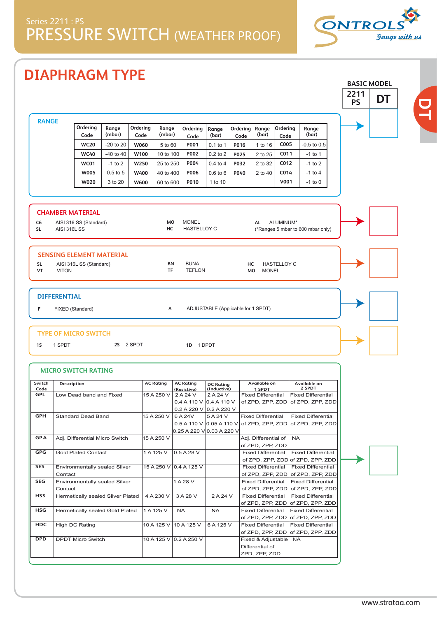# Series 2211 : PS PRESSURE SWITCH (WEATHER PROOF)



**BASIC MODEL**

**DT**

# **DIAPHRAGM TYPE**

|                          |                     |                                   |                 |                  |                  |                                                                |                                    |                  |                                               |                    |                                               | 2211<br><b>PS</b> | DT |
|--------------------------|---------------------|-----------------------------------|-----------------|------------------|------------------|----------------------------------------------------------------|------------------------------------|------------------|-----------------------------------------------|--------------------|-----------------------------------------------|-------------------|----|
| <b>RANGE</b>             |                     |                                   |                 |                  |                  |                                                                |                                    |                  |                                               |                    |                                               |                   |    |
|                          |                     | Ordering<br>Code                  | Range<br>(mbar) | Ordering<br>Code | Range<br>(mbar)  | Ordering<br>Code                                               | Range<br>(bar)                     | Ordering<br>Code | Range<br>(bar)                                | Ordering<br>Code   | Range<br>(bar)                                |                   |    |
|                          |                     | <b>WC20</b>                       | $-20$ to $20$   | W060             | 5 to 60          | P001                                                           | $0.1$ to 1                         | P016             | 1 to 16                                       | C005               | $-0.5$ to $0.5$                               |                   |    |
|                          |                     | <b>WC40</b>                       | $-40$ to $40$   | W100             | 10 to 100        | P002                                                           | $0.2$ to $2$                       | P025             | 2 to 25                                       | C011               | $-1$ to 1                                     |                   |    |
|                          |                     | WC01                              | $-1$ to 2       | W250             | 25 to 250        | P004                                                           | $0.4$ to 4                         | P032             | 2 to 32                                       | C012               | -1 to 2                                       |                   |    |
|                          |                     | <b>W005</b>                       | $0.5$ to $5$    | W400             | 40 to 400        | P006                                                           | $0.6$ to $6$                       | P040             | 2 to 40                                       | C014               | $-1$ to 4                                     |                   |    |
|                          |                     | W020                              | 3 to 20         | W600             | 60 to 600        | P010                                                           | 1 to 10                            |                  |                                               | V001               | $-1$ to 0                                     |                   |    |
|                          |                     |                                   |                 |                  |                  |                                                                |                                    |                  |                                               |                    |                                               |                   |    |
|                          |                     | <b>CHAMBER MATERIAL</b>           |                 |                  |                  |                                                                |                                    |                  |                                               |                    |                                               |                   |    |
| C <sub>6</sub>           |                     | AISI 316 SS (Standard)            |                 |                  | MO               | <b>MONEL</b>                                                   |                                    |                  | AL                                            | ALUMINUM*          |                                               |                   |    |
| <b>SL</b>                | <b>AISI 316L SS</b> |                                   |                 |                  | HC               | <b>HASTELLOY C</b>                                             |                                    |                  |                                               |                    | (*Ranges 5 mbar to 600 mbar only)             |                   |    |
|                          |                     |                                   |                 |                  |                  |                                                                |                                    |                  |                                               |                    |                                               |                   |    |
|                          |                     | <b>SENSING ELEMENT MATERIAL</b>   |                 |                  |                  |                                                                |                                    |                  |                                               |                    |                                               |                   |    |
| <b>SL</b>                |                     | AISI 316L SS (Standard)           |                 |                  | BN<br><b>TF</b>  | <b>BUNA</b><br><b>TEFLON</b>                                   |                                    | нс               |                                               | <b>HASTELLOY C</b> |                                               |                   |    |
| VT                       | <b>VITON</b>        |                                   |                 |                  |                  |                                                                |                                    | мo               | <b>MONEL</b>                                  |                    |                                               |                   |    |
| F                        |                     | FIXED (Standard)                  |                 |                  | А                |                                                                | ADJUSTABLE (Applicable for 1 SPDT) |                  |                                               |                    |                                               |                   |    |
| 1S                       | 1 SPDT              | <b>TYPE OF MICRO SWITCH</b>       | 2S 2 SPDT       |                  |                  | 1D 1 DPDT                                                      |                                    |                  |                                               |                    |                                               |                   |    |
|                          |                     | <b>MICRO SWITCH RATING</b>        |                 |                  |                  |                                                                |                                    |                  |                                               |                    |                                               |                   |    |
|                          |                     |                                   |                 |                  |                  |                                                                |                                    |                  |                                               |                    |                                               |                   |    |
| Code                     | Description         |                                   |                 |                  | <b>AC Rating</b> | <b>AC Rating</b><br>(Resistive)                                | <b>DC Rating</b><br>(Inductive)    |                  | Available on<br>1 SPDT                        |                    | Available on<br>2 SPDT                        |                   |    |
| GPL                      |                     | Low Dead band and Fixed           |                 |                  | 15 A 250 V       | 2 A 24 V                                                       | 2 A 24 V                           |                  | <b>Fixed Differential</b>                     |                    | <b>Fixed Differential</b>                     |                   |    |
|                          |                     |                                   |                 |                  |                  | 0.4 A 110 V $\overline{)0.4}$ A 110 V                          |                                    |                  | of ZPD, ZPP, ZDD                              |                    | of ZPD, ZPP, ZDD                              |                   |    |
| GPH                      |                     | <b>Standard Dead Band</b>         |                 |                  | 15 A 250 V       | 0.2 A 220 V $ 0.2 A 220 V$<br>6 A 24V                          | 5 A 24 V                           |                  | <b>Fixed Differential</b>                     |                    | <b>Fixed Differential</b>                     |                   |    |
|                          |                     |                                   |                 |                  |                  | 0.5 A 110 V $ 0.05 A 110 V $ of ZPD, ZPP, ZDD of ZPD, ZPP, ZDD |                                    |                  |                                               |                    |                                               |                   |    |
|                          |                     |                                   |                 |                  |                  | 0.25 A 220 V 0.03 A 220 V                                      |                                    |                  |                                               |                    |                                               |                   |    |
| <b>GPA</b>               |                     | Adj. Differential Micro Switch    |                 |                  | 15 A 250 V       |                                                                |                                    |                  | Adj. Differential of                          |                    | <b>NA</b>                                     |                   |    |
|                          |                     | <b>Gold Plated Contact</b>        |                 |                  | 1 A 125 V        | 0.5 A 28 V                                                     |                                    |                  | of ZPD, ZPP, ZDD<br><b>Fixed Differential</b> |                    | <b>Fixed Differential</b>                     |                   |    |
|                          |                     |                                   |                 |                  |                  |                                                                |                                    |                  |                                               |                    | of ZPD, ZPP, ZDD of ZPD, ZPP, ZDD             |                   |    |
| SES                      |                     | Environmentally sealed Silver     |                 |                  |                  | 15 A 250 V 0.4 A 125 V                                         |                                    |                  | <b>Fixed Differential</b>                     |                    | <b>Fixed Differential</b>                     |                   |    |
|                          | Contact             |                                   |                 |                  |                  |                                                                |                                    |                  |                                               |                    | of ZPD, ZPP, ZDD of ZPD, ZPP, ZDD             |                   |    |
| SEG                      |                     | Environmentally sealed Silver     |                 |                  |                  | 1 A 28 V                                                       |                                    |                  | <b>Fixed Differential</b>                     |                    | <b>Fixed Differential</b>                     |                   |    |
|                          | Contact             | Hermetically sealed Silver Plated |                 |                  | 4 A 230 V        | 3 A 28 V                                                       | 2 A 24 V                           |                  | of ZPD, ZPP, ZDD<br><b>Fixed Differential</b> |                    | of ZPD, ZPP, ZDD<br><b>Fixed Differential</b> |                   |    |
|                          |                     |                                   |                 |                  |                  |                                                                |                                    |                  |                                               |                    | of ZPD, ZPP, ZDD of ZPD, ZPP, ZDD             |                   |    |
| GPG<br><b>HSS</b><br>HSG |                     | Hermetically sealed Gold Plated   |                 |                  | 1 A 125 V        | NA                                                             | NA                                 |                  | <b>Fixed Differential</b>                     |                    | <b>Fixed Differential</b>                     |                   |    |
| Switch                   |                     |                                   |                 |                  |                  |                                                                |                                    |                  | of ZPD, ZPP, ZDD                              |                    | of ZPD, ZPP, ZDD                              |                   |    |
| HDC                      |                     | High DC Rating                    |                 |                  | 10 A 125 V       | 10 A 125 V                                                     | 6 A 125 V                          |                  | <b>Fixed Differential</b>                     |                    | <b>Fixed Differential</b>                     |                   |    |
| <b>DPD</b>               |                     | <b>DPDT Micro Switch</b>          |                 |                  |                  | 10 A 125 V 0.2 A 250 V                                         |                                    |                  | of ZPD, ZPP, ZDD<br>Fixed & Adjustable        |                    | of ZPD, ZPP, ZDD<br><b>NA</b>                 |                   |    |
|                          |                     |                                   |                 |                  |                  |                                                                |                                    |                  | Differential of                               |                    |                                               |                   |    |